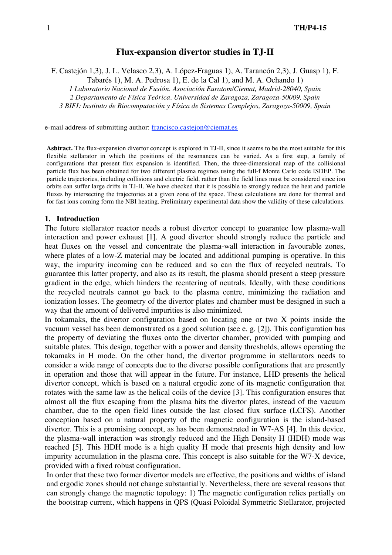# **Flux-expansion divertor studies in TJ-II**

F. Castejón 1,3), J. L. Velasco 2,3), A. López-Fraguas 1), A. Tarancón 2,3), J. Guasp 1), F.

Tabarés 1), M. A. Pedrosa 1), E. de la Cal 1), and M. A. Ochando 1)

*1 Laboratorio Nacional de Fusión. Asociación Euratom/Ciemat, Madrid-28040, Spain*

*2 Departamento de Física Teórica. Universidad de Zaragoza, Zaragoza-50009, Spain*

*3 BIFI: Instituto de Biocomputación y Física de Sistemas Complejos, Zaragoza-50009, Spain*

e-mail address of submitting author: francisco.castejon@ciemat.es

**Asbtract.** The flux-expansion divertor concept is explored in TJ-II, since it seems to be the most suitable for this flexible stellarator in which the positions of the resonances can be varied. As a first step, a family of configurations that present flux expansion is identified. Then, the three-dimensional map of the collisional particle flux has been obtained for two different plasma regimes using the full-f Monte Carlo code ISDEP. The particle trajectories, including collisions and electric field, rather than the field lines must be considered since ion orbits can suffer large drifts in TJ-II. We have checked that it is possible to strongly reduce the heat and particle fluxes by intersecting the trajectories at a given zone of the space. These calculations are done for thermal and for fast ions coming form the NBI heating. Preliminary experimental data show the validity of these calculations.

# **1. Introduction**

The future stellarator reactor needs a robust divertor concept to guarantee low plasma-wall interaction and power exhaust [1]. A good divertor should strongly reduce the particle and heat fluxes on the vessel and concentrate the plasma-wall interaction in favourable zones, where plates of a low-Z material may be located and additional pumping is operative. In this way, the impurity incoming can be reduced and so can the flux of recycled neutrals. To guarantee this latter property, and also as its result, the plasma should present a steep pressure gradient in the edge, which hinders the reentering of neutrals. Ideally, with these conditions the recycled neutrals cannot go back to the plasma centre, minimizing the radiation and ionization losses. The geometry of the divertor plates and chamber must be designed in such a way that the amount of delivered impurities is also minimized.

In tokamaks, the divertor configuration based on locating one or two X points inside the vacuum vessel has been demonstrated as a good solution (see e. g. [2]). This configuration has the property of deviating the fluxes onto the divertor chamber, provided with pumping and suitable plates. This design, together with a power and density thresholds, allows operating the tokamaks in H mode. On the other hand, the divertor programme in stellarators needs to consider a wide range of concepts due to the diverse possible configurations that are presently in operation and those that will appear in the future. For instance, LHD presents the helical divertor concept, which is based on a natural ergodic zone of its magnetic configuration that rotates with the same law as the helical coils of the device [3]. This configuration ensures that almost all the flux escaping from the plasma hits the divertor plates, instead of the vacuum chamber, due to the open field lines outside the last closed flux surface (LCFS). Another conception based on a natural property of the magnetic configuration is the island-based divertor. This is a promising concept, as has been demonstrated in W7-AS [4]. In this device, the plasma-wall interaction was strongly reduced and the High Density H (HDH) mode was reached [5]. This HDH mode is a high quality H mode that presents high density and low impurity accumulation in the plasma core. This concept is also suitable for the W7-X device, provided with a fixed robust configuration.

In order that these two former divertor models are effective, the positions and widths of island and ergodic zones should not change substantially. Nevertheless, there are several reasons that can strongly change the magnetic topology: 1) The magnetic configuration relies partially on the bootstrap current, which happens in QPS (Quasi Poloidal Symmetric Stellarator, projected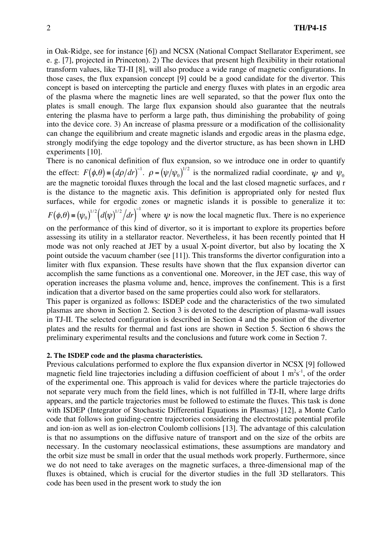in Oak-Ridge, see for instance [6]) and NCSX (National Compact Stellarator Experiment, see e. g. [7], projected in Princeton). 2) The devices that present high flexibility in their rotational transform values, like TJ-II [8], will also produce a wide range of magnetic configurations. In those cases, the flux expansion concept [9] could be a good candidate for the divertor. This concept is based on intercepting the particle and energy fluxes with plates in an ergodic area of the plasma where the magnetic lines are well separated, so that the power flux onto the plates is small enough. The large flux expansion should also guarantee that the neutrals entering the plasma have to perform a large path, thus diminishing the probability of going into the device core. 3) An increase of plasma pressure or a modification of the collisionality can change the equilibrium and create magnetic islands and ergodic areas in the plasma edge, strongly modifying the edge topology and the divertor structure, as has been shown in LHD experiments [10].

There is no canonical definition of flux expansion, so we introduce one in order to quantify the effect:  $F(\phi, \theta) = (d\rho/dr)^{-1}$ .  $\rho = (\psi/\psi_0)^{1/2}$  is the normalized radial coordinate,  $\psi$  and  $\psi_0$  $F(t, 0) = (t_0)^{1/2} (t_0)^{1/2} (t_0)^{-1}$ are the magnetic toroidal fluxes through the local and the last closed magnetic surfaces, and r is the distance to the magnetic axis. This definition is appropriated only for nested flux surfaces, while for ergodic zones or magnetic islands it is possible to generalize it to:  $F(\phi,\theta) = (\psi_0)^{1/2} (d(\psi)^{1/2}/dr)^{-1}$  where  $\psi$  is now the local magnetic flux. There is no experience on the performance of this kind of divertor, so it is important to explore its properties before

mode was not only reached at JET by a usual X-point divertor, but also by locating the X<br>maint outside the vecuum aboutles (see [111]. This transforms the diverter earlier water into a assessing its utility in a stellarator reactor. Nevertheless, it has been recently pointed that H point outside the vacuum chamber (see [11]). This transforms the divertor configuration into a limiter with flux expansion. These results have shown that the flux expansion divertor can accomplish the same functions as a conventional one. Moreover, in the JET case, this way of operation increases the plasma volume and, hence, improves the confinement. This is a first indication that a divertor based on the same properties could also work for stellarators.

This paper is organized as follows: ISDEP code and the characteristics of the two simulated plasmas are shown in Section 2. Section 3 is devoted to the description of plasma-wall issues in TJ-II. The selected configuration is described in Section 4 and the position of the divertor plates and the results for thermal and fast ions are shown in Section 5. Section 6 shows the preliminary experimental results and the conclusions and future work come in Section 7.

## **2. The ISDEP code and the plasma characteristics.**

Previous calculations performed to explore the flux expansion divertor in NCSX [9] followed magnetic field line trajectories including a diffusion coefficient of about  $1 \text{ m}^2\text{s}^{-1}$ , of the order of the experimental one. This approach is valid for devices where the particle trajectories do not separate very much from the field lines, which is not fulfilled in TJ-II, where large drifts appears, and the particle trajectories must be followed to estimate the fluxes. This task is done with ISDEP (Integrator of Stochastic Differential Equations in Plasmas) [12], a Monte Carlo code that follows ion guiding-centre trajectories considering the electrostatic potential profile and ion-ion as well as ion-electron Coulomb collisions [13]. The advantage of this calculation is that no assumptions on the diffusive nature of transport and on the size of the orbits are necessary. In the customary neoclassical estimations, these assumptions are mandatory and the orbit size must be small in order that the usual methods work properly. Furthermore, since we do not need to take averages on the magnetic surfaces, a three-dimensional map of the fluxes is obtained, which is crucial for the divertor studies in the full 3D stellarators. This code has been used in the present work to study the ion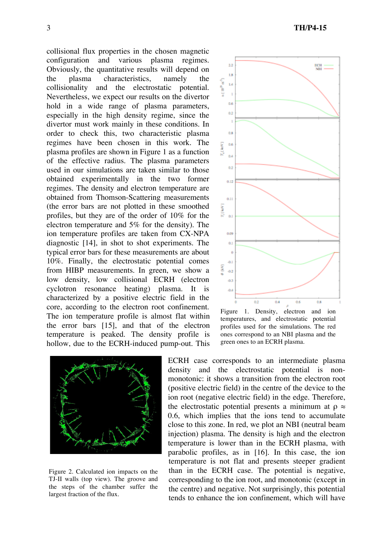collisional flux properties in the chosen magnetic configuration and various plasma regimes. Obviously, the quantitative results will depend on the plasma characteristics, namely the collisionality and the electrostatic potential. Nevertheless, we expect our results on the divertor hold in a wide range of plasma parameters, especially in the high density regime, since the divertor must work mainly in these conditions. In order to check this, two characteristic plasma regimes have been chosen in this work. The plasma profiles are shown in Figure 1 as a function of the effective radius. The plasma parameters used in our simulations are taken similar to those obtained experimentally in the two former regimes. The density and electron temperature are obtained from Thomson-Scattering measurements (the error bars are not plotted in these smoothed profiles, but they are of the order of 10% for the electron temperature and 5% for the density). The ion temperature profiles are taken from CX-NPA diagnostic [14], in shot to shot experiments. The typical error bars for these measurements are about 10%. Finally, the electrostatic potential comes from HIBP measurements. In green, we show a low density, low collisional ECRH (electron cyclotron resonance heating) plasma. It is characterized by a positive electric field in the core, according to the electron root confinement. The ion temperature profile is almost flat within the error bars [15], and that of the electron temperature is peaked. The density profile is hollow, due to the ECRH-induced pump-out. This



Figure 2. Calculated ion impacts on the TJ-II walls (top view). The groove and the steps of the chamber suffer the largest fraction of the flux.



temperatures, and electrostatic potential profiles used for the simulations. The red ones correspond to an NBI plasma and the green ones to an ECRH plasma.

ECRH case corresponds to an intermediate plasma density and the electrostatic potential is nonmonotonic: it shows a transition from the electron root (positive electric field) in the centre of the device to the ion root (negative electric field) in the edge. Therefore, the electrostatic potential presents a minimum at  $\rho \approx$ 0.6, which implies that the ions tend to accumulate close to this zone. In red, we plot an NBI (neutral beam injection) plasma. The density is high and the electron temperature is lower than in the ECRH plasma, with parabolic profiles, as in [16]. In this case, the ion temperature is not flat and presents steeper gradient than in the ECRH case. The potential is negative, corresponding to the ion root, and monotonic (except in the centre) and negative. Not surprisingly, this potential tends to enhance the ion confinement, which will have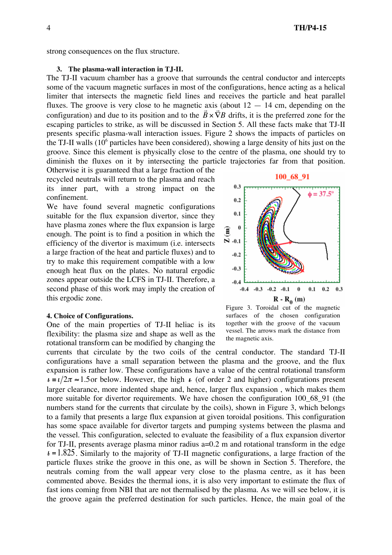strong consequences on the flux structure.

### **3. The plasma-wall interaction in TJ-II.**

The TJ-II vacuum chamber has a groove that surrounds the central conductor and intercepts some of the vacuum magnetic surfaces in most of the configurations, hence acting as a helical limiter that intersects the magnetic field lines and receives the particle and heat parallel fluxes. The groove is very close to he magnetic axis (about  $12 - 14$  cm, depending on the riuxes. The groove is very close to he magnetic axis (about  $12 - 14$  cm, depending on the configuration) and due to its position and to the  $\vec{B} \times \vec{\nabla}B$  drifts, it is the preferred zone for the groove. Since this element is physically close to the centre of the plasma, one should try to escaping particles to strike, as will be discussed in Section 5. All these facts make that TJ-II presents specific plasma-wall interaction issues. Figure 2 shows the impacts of particles on the TJ-II walls  $(10<sup>6</sup>$  particles have been considered), showing a large density of hits just on the diminish the fluxes on it by intersecting the particle trajectories far from that position.

Otherwise it is guaranteed that a large fraction of the recycled neutrals will return to the plasma and reach its inner part, with a strong impact on the confinement.

We have found several magnetic configurations suitable for the flux expansion divertor, since they have plasma zones where the flux expansion is large enough. The point is to find a position in which the efficiency of the divertor is maximum (i.e. intersects a large fraction of the heat and particle fluxes) and to try to make this requirement compatible with a low enough heat flux on the plates. No natural ergodic zones appear outside the LCFS in TJ-II. Therefore, a second phase of this work may imply the creation of this ergodic zone.

#### **4. Choice of Configurations.**

One of the main properties of TJ-II heliac is its flexibility: the plasma size and shape as well as the rotational transform can be modified by changing the



Figure 3. Toroidal cut of the magnetic surfaces of the chosen configuration together with the groove of the vacuum vessel. The arrows mark the distance from the magnetic axis.

currents that circulate by the two coils of the central conductor. The standard TJ-II configurations have a small separation between the plasma and the groove, and the flux expansion is rather low. These configurations have a value of the central rotational transform  $\epsilon = \frac{\ell}{2\pi} \approx 1.5$  or below. However, the high  $\epsilon$  (of order 2 and higher) configurations present numbers stand for the currents that circulate by the coils), shown in Figure 3, which belongs<br>to a family that presents a large flux expansion at given toroidal positions. This configuration larger clearance, more indented shape and, hence, larger flux expansion , which makes them more suitable for divertor requirements. We have chosen the configuration 100\_68\_91 (the numbers stand for the currents that circulate by the coils), shown in Figure 3, which belongs has some space available for divertor targets and pumping systems between the plasma and the vessel. This configuration, selected to evaluate the feasibility of a flux expansion divertor for TJ-II, presents average plasma minor radius a=0.2 m and rotational transform in the edge  $t = 1.825$ . Similarly to the majority of TJ-II magnetic configurations, a large fraction of the particle fluxes strike the groove in this one, as will be shown in Section 5. Therefore, the neutrals coming from the wall appear very close to the plasma centre, as it has been commented above. Besides the thermal ions, it is also very important to estimate the flux of fast ions coming from NBI that are not thermalised by the plasma. As we will see below, it is the groove again the preferred destination for such particles. Hence, the main goal of the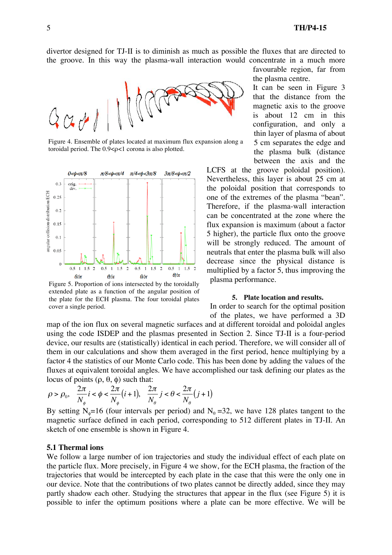divertor designed for TJ-II is to diminish as much as possible the fluxes that are directed to the groove. In this way the plasma-wall interaction would concentrate in a much more



Figure 4. Ensemble of plates located at maximum flux expansion along a toroidal period. The 0.9<ρ<1 corona is also plotted.



Figure 5. Proportion of ions intersected by the toroidally extended plate as a function of the angular position of the plate for the ECH plasma. The four toroidal plates cover a single period.

favourable region, far from the plasma centre.

It can be seen in Figure 3 that the distance from the magnetic axis to the groove is about 12 cm in this configuration, and only a thin layer of plasma of about 5 cm separates the edge and the plasma bulk (distance between the axis and the

LCFS at the groove poloidal position). Nevertheless, this layer is about 25 cm at the poloidal position that corresponds to one of the extremes of the plasma "bean". Therefore, if the plasma-wall interaction can be concentrated at the zone where the flux expansion is maximum (about a factor 5 higher), the particle flux onto the groove will be strongly reduced. The amount of neutrals that enter the plasma bulk will also decrease since the physical distance is multiplied by a factor 5, thus improving the plasma performance.

#### **5. Plate location and results.**

In order to search for the optimal position of the plates, we have performed a 3D

map of the ion flux on several magnetic surfaces and at different toroidal and poloidal angles using the code ISDEP and the plasmas presented in Section 2. Since TJ-II is a four-period device, our results are (statistically) identical in each period. Therefore, we will consider all of them in our calculations and show them averaged in the first period, hence multiplying by a factor 4 the statistics of our Monte Carlo code. This has been done by adding the values of the fluxes at equivalent toroidal angles. We have accomplished our task defining our plates as the locus of points (ρ, θ, φ) such that:

$$
\rho > \rho_0, \quad \frac{2\pi}{N_{\phi}} i < \phi < \frac{2\pi}{N_{\phi}} (i+1), \quad \frac{2\pi}{N_{\theta}} j < \theta < \frac{2\pi}{N_{\theta}} (j+1)
$$

By setting N<sub>0</sub>=16 (four intervals per period) and N<sub>0</sub>=32, we have 128 plates tangent to the magnetic surface defined in each period, corresponding to 512 different plates in TJ-II. An sketch of one ensemble is shown in Figure 4.

### **5.1 Thermal ions**

We follow a large number of ion trajectories and study the individual effect of each plate on the particle flux. More precisely, in Figure 4 we show, for the ECH plasma, the fraction of the trajectories that would be intercepted by each plate in the case that this were the only one in our device. Note that the contributions of two plates cannot be directly added, since they may partly shadow each other. Studying the structures that appear in the flux (see Figure 5) it is possible to infer the optimum positions where a plate can be more effective. We will be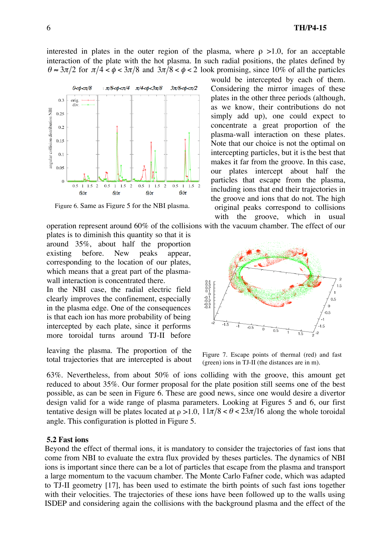interested in plates in the outer region of the plasma, where  $\rho > 1.0$ , for an acceptable interaction of the plate with the hot plasma. In such radial positions, the plates defined by  $\theta \approx 3\pi/2$  for  $\pi/4 < \phi < 3\pi/8$  and  $3\pi/8 < \phi < 2$  look promising, since 10% of all the particles



Figure 6. Same as Figure 5 for the NBI plasma.

operation represent around 60% of the collisions with the vacuum chamber. The effect of our

plates is to diminish this quantity so that it is around 35%, about half the proportion existing before. New peaks appear, corresponding to the location of our plates, which means that a great part of the plasmawall interaction is concentrated there.

In the NBI case, the radial electric field clearly improves the confinement, especially in the plasma edge. One of the consequences is that each ion has more probability of being intercepted by each plate, since it performs more toroidal turns around TJ-II before

leaving the plasma. The proportion of the total trajectories that are intercepted is about

would be intercepted by each of them. Considering the mirror images of these plates in the other three periods (although, as we know, their contributions do not simply add up), one could expect to concentrate a great proportion of the plasma-wall interaction on these plates. Note that our choice is not the optimal on intercepting particles, but it is the best that makes it far from the groove. In this case, our plates intercept about half the particles that escape from the plasma, including ions that end their trajectories in the groove and ions that do not. The high original peaks correspond to collisions with the groove, which in usual



Figure 7. Escape points of thermal (red) and fast (green) ions in TJ-II (the distances are in m).

63%. Nevertheless, from about 50% of ions colliding with the groove, this amount get reduced to about 35%. Our former proposal for the plate position still seems one of the best possible, as can be seen in Figure 6. These are good news, since one would desire a divertor design valid for a wide range of plasma parameters. Looking at Figures 5 and 6, our first tentative design will be plates located at  $\rho > 1.0$ ,  $11\pi/8 < \theta < 23\pi/16$  along the whole toroidal angle. This configuration is plotted in Figure 5.

### **5.2 Fast ions**

Beyond the effect of thermal ions, it is mandatory to consider the trajectories of fast ions that come from NBI to evaluate the extra flux provided by theses particles. The dynamics of NBI ions is important since there can be a lot of particles that escape from the plasma and transport a large momentum to the vacuum chamber. The Monte Carlo Fafner code, which was adapted to TJ-II geometry [17], has been used to estimate the birth points of such fast ions together with their velocities. The trajectories of these ions have been followed up to the walls using ISDEP and considering again the collisions with the background plasma and the effect of the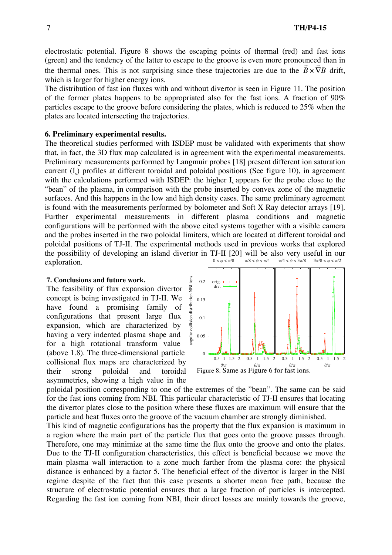electrostatic potential. Figure 8 shows the escaping points of thermal (red) and fast ions (green) and the tendency of the latter to escape to the groove is even more pronounced than in (green) and the tendency of the fatter to escape to the groove is even more pronounced than in<br>the thermal ones. This is not surprising since these trajectories are due to the  $\vec{B} \times \vec{\nabla}B$  drift, which is larger for higher energy ions.

particles escape to the groove before considering the plates, which is reduced to 25% when the The distribution of fast ion fluxes with and without divertor is seen in Figure 11. The position of the former plates happens to be appropriated also for the fast ions. A fraction of 90% plates are located intersecting the trajectories.

# **6. Preliminary experimental results.**

The theoretical studies performed with ISDEP must be validated with experiments that show that, in fact, the 3D flux map calculated is in agreement with the experimental measurements. Preliminary measurements performed by Langmuir probes [18] present different ion saturation current  $(I<sub>s</sub>)$  profiles at different toroidal and poloidal positions (See figure 10), in agreement with the calculations performed with ISDEP: the higher  $I_s$  appears for the probe close to the "bean" of the plasma, in comparison with the probe inserted by convex zone of the magnetic surfaces. And this happens in the low and high density cases. The same preliminary agreement is found with the measurements performed by bolometer and Soft X Ray detector arrays [19]. Further experimental measurements in different plasma conditions and magnetic configurations will be performed with the above cited systems together with a visible camera and the probes inserted in the two poloidal limiters, which are located at different toroidal and poloidal positions of TJ-II. The experimental methods used in previous works that explored the possibility of developing an island divertor in TJ-II [20] will be also very useful in our exploration.  $0<\phi<\pi/8$ π/8 < φ < π/4 π/4 < φ < 3π/8  $3\pi/8 < \phi < \pi/2$ 

# **7. Conclusions and future work.**

The feasibility of flux expansion divertor concept is being investigated in TJ-II. We have found a promising family of configurations that present large flux expansion, which are characterized by having a very indented plasma shape and for a high rotational transform value (above 1.8). The three-dimensional particle collisional flux maps are characterized by their strong poloidal and toroidal asymmetries, showing a high value in the



poloidal position corresponding to one of the extremes of the "bean". The same can be said for the fast ions coming from NBI. This particular characteristic of TJ-II ensures that locating the divertor plates close to the position where these fluxes are maximum will ensure that the particle and heat fluxes onto the groove of the vacuum chamber are strongly diminished.

This kind of magnetic configurations has the property that the flux expansion is maximum in a region where the main part of the particle flux that goes onto the groove passes through. Therefore, one may minimize at the same time the flux onto the groove and onto the plates. Due to the TJ-II configuration characteristics, this effect is beneficial because we move the main plasma wall interaction to a zone much farther from the plasma core: the physical distance is enhanced by a factor 5. The beneficial effect of the divertor is larger in the NBI regime despite of the fact that this case presents a shorter mean free path, because the structure of electrostatic potential ensures that a large fraction of particles is intercepted. Regarding the fast ion coming from NBI, their direct losses are mainly towards the groove,